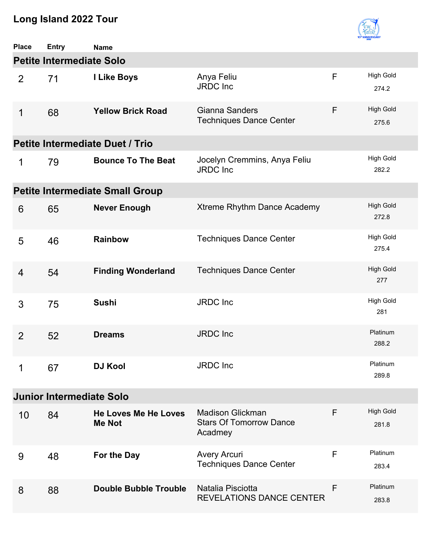

| <b>Place</b>   | Entry                           | <b>Name</b>                                  |                                                                      |   |                           |  |  |  |
|----------------|---------------------------------|----------------------------------------------|----------------------------------------------------------------------|---|---------------------------|--|--|--|
|                | <b>Petite Intermediate Solo</b> |                                              |                                                                      |   |                           |  |  |  |
| $\overline{2}$ | 71                              | I Like Boys                                  | Anya Feliu<br><b>JRDC</b> Inc                                        | F | <b>High Gold</b><br>274.2 |  |  |  |
| 1              | 68                              | <b>Yellow Brick Road</b>                     | Gianna Sanders<br><b>Techniques Dance Center</b>                     | F | <b>High Gold</b><br>275.6 |  |  |  |
|                |                                 | <b>Petite Intermediate Duet / Trio</b>       |                                                                      |   |                           |  |  |  |
| 1              | 79                              | <b>Bounce To The Beat</b>                    | Jocelyn Cremmins, Anya Feliu<br>JRDC Inc                             |   | <b>High Gold</b><br>282.2 |  |  |  |
|                |                                 | <b>Petite Intermediate Small Group</b>       |                                                                      |   |                           |  |  |  |
| 6              | 65                              | <b>Never Enough</b>                          | Xtreme Rhythm Dance Academy                                          |   | <b>High Gold</b><br>272.8 |  |  |  |
| 5              | 46                              | <b>Rainbow</b>                               | <b>Techniques Dance Center</b>                                       |   | <b>High Gold</b><br>275.4 |  |  |  |
| 4              | 54                              | <b>Finding Wonderland</b>                    | <b>Techniques Dance Center</b>                                       |   | <b>High Gold</b><br>277   |  |  |  |
| 3              | 75                              | <b>Sushi</b>                                 | <b>JRDC</b> Inc                                                      |   | <b>High Gold</b><br>281   |  |  |  |
| $\overline{2}$ | 52                              | <b>Dreams</b>                                | <b>JRDC</b> Inc                                                      |   | Platinum<br>288.2         |  |  |  |
| 1              | 67                              | <b>DJ Kool</b>                               | <b>JRDC</b> Inc                                                      |   | Platinum<br>289.8         |  |  |  |
|                | <b>Junior Intermediate Solo</b> |                                              |                                                                      |   |                           |  |  |  |
| 10             | 84                              | <b>He Loves Me He Loves</b><br><b>Me Not</b> | <b>Madison Glickman</b><br><b>Stars Of Tomorrow Dance</b><br>Acadmey | F | <b>High Gold</b><br>281.8 |  |  |  |
| 9              | 48                              | For the Day                                  | <b>Avery Arcuri</b><br><b>Techniques Dance Center</b>                | F | Platinum<br>283.4         |  |  |  |
| 8              | 88                              | <b>Double Bubble Trouble</b>                 | Natalia Pisciotta<br><b>REVELATIONS DANCE CENTER</b>                 | F | Platinum<br>283.8         |  |  |  |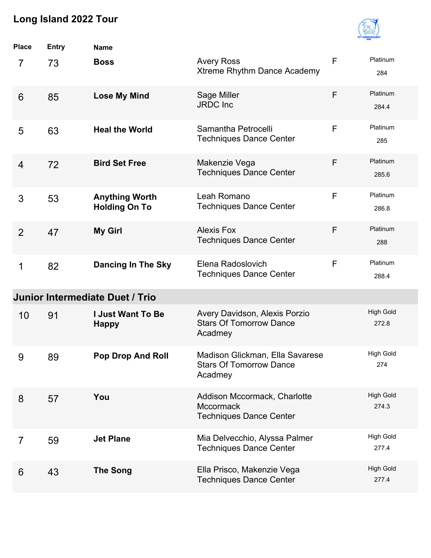

| <b>Place</b>    | <b>Entry</b> | <b>Name</b>                                   |                                                                                    |              |                           |
|-----------------|--------------|-----------------------------------------------|------------------------------------------------------------------------------------|--------------|---------------------------|
| 7               | 73           | <b>Boss</b>                                   | <b>Avery Ross</b><br>Xtreme Rhythm Dance Academy                                   | $\mathsf{F}$ | Platinum<br>284           |
| $6\phantom{1}6$ | 85           | <b>Lose My Mind</b>                           | Sage Miller<br><b>JRDC</b> Inc                                                     | F            | Platinum<br>284.4         |
| 5               | 63           | <b>Heal the World</b>                         | Samantha Petrocelli<br><b>Techniques Dance Center</b>                              | F            | Platinum<br>285           |
| $\overline{4}$  | 72           | <b>Bird Set Free</b>                          | Makenzie Vega<br><b>Techniques Dance Center</b>                                    | F            | Platinum<br>285.6         |
| 3               | 53           | <b>Anything Worth</b><br><b>Holding On To</b> | Leah Romano<br><b>Techniques Dance Center</b>                                      | F            | Platinum<br>286.8         |
| $\overline{2}$  | 47           | <b>My Girl</b>                                | <b>Alexis Fox</b><br><b>Techniques Dance Center</b>                                | F            | Platinum<br>288           |
| 1               | 82           | <b>Dancing In The Sky</b>                     | Elena Radoslovich<br><b>Techniques Dance Center</b>                                | F            | Platinum<br>288.4         |
|                 |              | Junior Intermediate Duet / Trio               |                                                                                    |              |                           |
| 10              | 91           | <b>I Just Want To Be</b><br><b>Happy</b>      | Avery Davidson, Alexis Porzio<br><b>Stars Of Tomorrow Dance</b><br>Acadmey         |              | <b>High Gold</b><br>272.8 |
| 9               | 89           | <b>Pop Drop And Roll</b>                      | Madison Glickman, Ella Savarese<br><b>Stars Of Tomorrow Dance</b><br>Acadmey       |              | <b>High Gold</b><br>274   |
| 8               | 57           | You                                           | Addison Mccormack, Charlotte<br><b>Mccormack</b><br><b>Techniques Dance Center</b> |              | <b>High Gold</b><br>274.3 |
| $\overline{7}$  | 59           | <b>Jet Plane</b>                              | Mia Delvecchio, Alyssa Palmer<br><b>Techniques Dance Center</b>                    |              | <b>High Gold</b><br>277.4 |
| 6               | 43           | <b>The Song</b>                               | Ella Prisco, Makenzie Vega<br><b>Techniques Dance Center</b>                       |              | <b>High Gold</b><br>277.4 |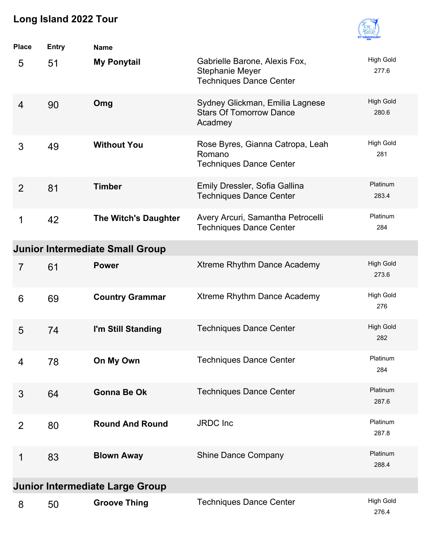

| <b>Place</b>   | <b>Entry</b> | <b>Name</b>                            |                                                                                           |                           |
|----------------|--------------|----------------------------------------|-------------------------------------------------------------------------------------------|---------------------------|
| 5              | 51           | <b>My Ponytail</b>                     | Gabrielle Barone, Alexis Fox,<br><b>Stephanie Meyer</b><br><b>Techniques Dance Center</b> | <b>High Gold</b><br>277.6 |
| 4              | 90           | Omg                                    | Sydney Glickman, Emilia Lagnese<br><b>Stars Of Tomorrow Dance</b><br>Acadmey              | <b>High Gold</b><br>280.6 |
| 3              | 49           | <b>Without You</b>                     | Rose Byres, Gianna Catropa, Leah<br>Romano<br><b>Techniques Dance Center</b>              | <b>High Gold</b><br>281   |
| $\overline{2}$ | 81           | <b>Timber</b>                          | Emily Dressler, Sofia Gallina<br><b>Techniques Dance Center</b>                           | Platinum<br>283.4         |
| 1              | 42           | The Witch's Daughter                   | Avery Arcuri, Samantha Petrocelli<br><b>Techniques Dance Center</b>                       | Platinum<br>284           |
|                |              | <b>Junior Intermediate Small Group</b> |                                                                                           |                           |
| $\overline{7}$ | 61           | <b>Power</b>                           | Xtreme Rhythm Dance Academy                                                               | <b>High Gold</b><br>273.6 |
| 6              | 69           | <b>Country Grammar</b>                 | Xtreme Rhythm Dance Academy                                                               | <b>High Gold</b><br>276   |
| 5              | 74           | I'm Still Standing                     | <b>Techniques Dance Center</b>                                                            | <b>High Gold</b><br>282   |
| 4              | 78           | On My Own                              | <b>Techniques Dance Center</b>                                                            | Platinum<br>284           |
| 3              | 64           | <b>Gonna Be Ok</b>                     | <b>Techniques Dance Center</b>                                                            | Platinum<br>287.6         |
| $\overline{2}$ | 80           | <b>Round And Round</b>                 | <b>JRDC</b> Inc                                                                           | Platinum<br>287.8         |
| 1              | 83           | <b>Blown Away</b>                      | <b>Shine Dance Company</b>                                                                | Platinum<br>288.4         |
|                |              | <b>Junior Intermediate Large Group</b> |                                                                                           |                           |
| 8              | 50           | <b>Groove Thing</b>                    | <b>Techniques Dance Center</b>                                                            | <b>High Gold</b><br>276.4 |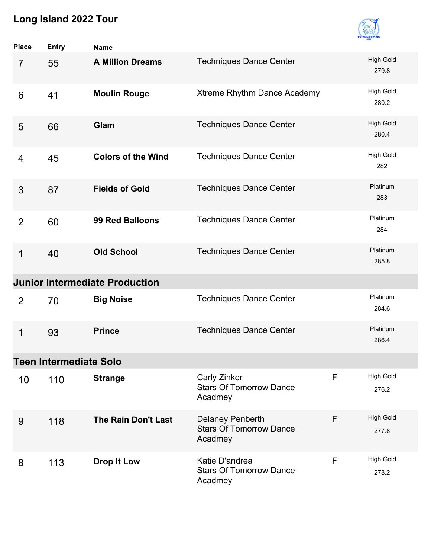

| <b>Place</b>   | <b>Entry</b>                  | <b>Name</b>                           |                                                               |   |                           |
|----------------|-------------------------------|---------------------------------------|---------------------------------------------------------------|---|---------------------------|
| $\overline{7}$ | 55                            | <b>A Million Dreams</b>               | <b>Techniques Dance Center</b>                                |   | <b>High Gold</b><br>279.8 |
| 6              | 41                            | <b>Moulin Rouge</b>                   | Xtreme Rhythm Dance Academy                                   |   | <b>High Gold</b><br>280.2 |
| 5              | 66                            | Glam                                  | <b>Techniques Dance Center</b>                                |   | <b>High Gold</b><br>280.4 |
| 4              | 45                            | <b>Colors of the Wind</b>             | <b>Techniques Dance Center</b>                                |   | <b>High Gold</b><br>282   |
| 3              | 87                            | <b>Fields of Gold</b>                 | <b>Techniques Dance Center</b>                                |   | Platinum<br>283           |
| $\overline{2}$ | 60                            | <b>99 Red Balloons</b>                | <b>Techniques Dance Center</b>                                |   | Platinum<br>284           |
| 1              | 40                            | <b>Old School</b>                     | <b>Techniques Dance Center</b>                                |   | Platinum<br>285.8         |
|                |                               | <b>Junior Intermediate Production</b> |                                                               |   |                           |
| $\overline{2}$ | 70                            | <b>Big Noise</b>                      | <b>Techniques Dance Center</b>                                |   | Platinum<br>284.6         |
| 1              | 93                            | <b>Prince</b>                         | <b>Techniques Dance Center</b>                                |   | Platinum<br>286.4         |
|                | <b>Teen Intermediate Solo</b> |                                       |                                                               |   |                           |
| 10             | 110                           | <b>Strange</b>                        | Carly Zinker<br><b>Stars Of Tomorrow Dance</b><br>Acadmey     | F | <b>High Gold</b><br>276.2 |
| 9              | 118                           | <b>The Rain Don't Last</b>            | Delaney Penberth<br><b>Stars Of Tomorrow Dance</b><br>Acadmey | F | <b>High Gold</b><br>277.8 |
| 8              | 113                           | <b>Drop It Low</b>                    | Katie D'andrea<br><b>Stars Of Tomorrow Dance</b><br>Acadmey   | F | <b>High Gold</b><br>278.2 |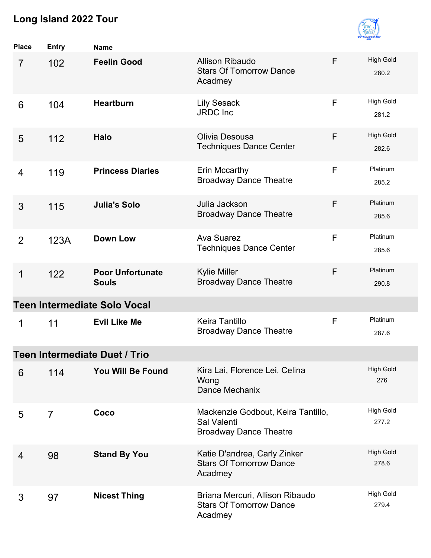

| <b>Place</b>   | <b>Entry</b>   | <b>Name</b>                             |                                                                                    |   |                           |
|----------------|----------------|-----------------------------------------|------------------------------------------------------------------------------------|---|---------------------------|
| $\overline{7}$ | 102            | <b>Feelin Good</b>                      | <b>Allison Ribaudo</b><br><b>Stars Of Tomorrow Dance</b><br>Acadmey                | F | <b>High Gold</b><br>280.2 |
| 6              | 104            | <b>Heartburn</b>                        | <b>Lily Sesack</b><br><b>JRDC</b> Inc                                              | F | <b>High Gold</b><br>281.2 |
| 5              | 112            | <b>Halo</b>                             | Olivia Desousa<br><b>Techniques Dance Center</b>                                   | F | <b>High Gold</b><br>282.6 |
| 4              | 119            | <b>Princess Diaries</b>                 | Erin Mccarthy<br><b>Broadway Dance Theatre</b>                                     | F | Platinum<br>285.2         |
| 3              | 115            | <b>Julia's Solo</b>                     | Julia Jackson<br><b>Broadway Dance Theatre</b>                                     | F | Platinum<br>285.6         |
| $\overline{2}$ | 123A           | <b>Down Low</b>                         | <b>Ava Suarez</b><br><b>Techniques Dance Center</b>                                | F | Platinum<br>285.6         |
| 1              | 122            | <b>Poor Unfortunate</b><br><b>Souls</b> | <b>Kylie Miller</b><br><b>Broadway Dance Theatre</b>                               | F | Platinum<br>290.8         |
|                |                | <b>Teen Intermediate Solo Vocal</b>     |                                                                                    |   |                           |
| 1              | 11             | <b>Evil Like Me</b>                     | <b>Keira Tantillo</b><br><b>Broadway Dance Theatre</b>                             | F | Platinum<br>287.6         |
|                |                | <b>Teen Intermediate Duet / Trio</b>    |                                                                                    |   |                           |
| 6              | 114            | You Will Be Found                       | Kira Lai, Florence Lei, Celina<br>Wong<br>Dance Mechanix                           |   | <b>High Gold</b><br>276   |
| 5              | $\overline{7}$ | Coco                                    | Mackenzie Godbout, Keira Tantillo,<br>Sal Valenti<br><b>Broadway Dance Theatre</b> |   | <b>High Gold</b><br>277.2 |
| 4              | 98             | <b>Stand By You</b>                     | Katie D'andrea, Carly Zinker<br><b>Stars Of Tomorrow Dance</b><br>Acadmey          |   | <b>High Gold</b><br>278.6 |
| 3              | 97             | <b>Nicest Thing</b>                     | Briana Mercuri, Allison Ribaudo<br><b>Stars Of Tomorrow Dance</b><br>Acadmey       |   | <b>High Gold</b><br>279.4 |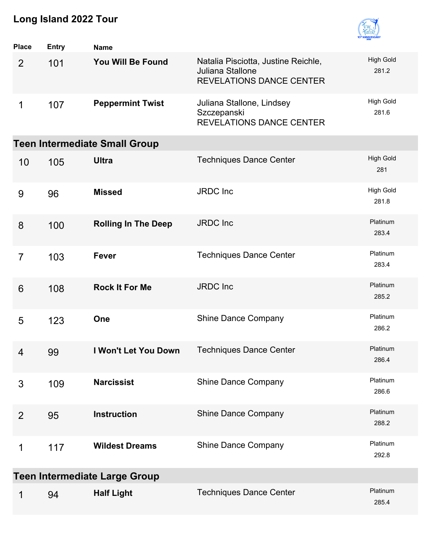

| <b>Place</b>    | <b>Entry</b> | <b>Name</b>                          |                                                                                            |                           |
|-----------------|--------------|--------------------------------------|--------------------------------------------------------------------------------------------|---------------------------|
| $\overline{2}$  | 101          | You Will Be Found                    | Natalia Pisciotta, Justine Reichle,<br>Juliana Stallone<br><b>REVELATIONS DANCE CENTER</b> | <b>High Gold</b><br>281.2 |
| 1               | 107          | <b>Peppermint Twist</b>              | Juliana Stallone, Lindsey<br>Szczepanski<br><b>REVELATIONS DANCE CENTER</b>                | <b>High Gold</b><br>281.6 |
|                 |              | <b>Teen Intermediate Small Group</b> |                                                                                            |                           |
| 10              | 105          | <b>Ultra</b>                         | <b>Techniques Dance Center</b>                                                             | <b>High Gold</b><br>281   |
| 9               | 96           | <b>Missed</b>                        | <b>JRDC</b> Inc                                                                            | <b>High Gold</b><br>281.8 |
| 8               | 100          | <b>Rolling In The Deep</b>           | <b>JRDC</b> Inc                                                                            | Platinum<br>283.4         |
| $\overline{7}$  | 103          | <b>Fever</b>                         | <b>Techniques Dance Center</b>                                                             | Platinum<br>283.4         |
| $6\phantom{1}6$ | 108          | <b>Rock It For Me</b>                | <b>JRDC</b> Inc                                                                            | Platinum<br>285.2         |
| 5               | 123          | One                                  | <b>Shine Dance Company</b>                                                                 | Platinum<br>286.2         |
| 4               | 99           | I Won't Let You Down                 | <b>Techniques Dance Center</b>                                                             | Platinum<br>286.4         |
| 3               | 109          | <b>Narcissist</b>                    | <b>Shine Dance Company</b>                                                                 | Platinum<br>286.6         |
| 2               | 95           | <b>Instruction</b>                   | <b>Shine Dance Company</b>                                                                 | Platinum<br>288.2         |
| 1               | 117          | <b>Wildest Dreams</b>                | <b>Shine Dance Company</b>                                                                 | Platinum<br>292.8         |
|                 |              | <b>Teen Intermediate Large Group</b> |                                                                                            |                           |
| 1               | 94           | <b>Half Light</b>                    | <b>Techniques Dance Center</b>                                                             | Platinum<br>285.4         |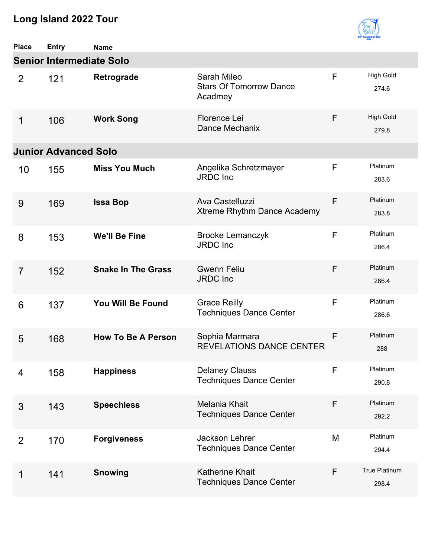

| <b>Place</b>   | <b>Entry</b>                    | <b>Name</b>               |                                                          |   |                               |
|----------------|---------------------------------|---------------------------|----------------------------------------------------------|---|-------------------------------|
|                | <b>Senior Intermediate Solo</b> |                           |                                                          |   |                               |
| 2              | 121                             | Retrograde                | Sarah Mileo<br><b>Stars Of Tomorrow Dance</b><br>Acadmey | F | <b>High Gold</b><br>274.6     |
| 1              | 106                             | <b>Work Song</b>          | Florence Lei<br>Dance Mechanix                           | F | <b>High Gold</b><br>279.8     |
|                | <b>Junior Advanced Solo</b>     |                           |                                                          |   |                               |
| 10             | 155                             | <b>Miss You Much</b>      | Angelika Schretzmayer<br><b>JRDC</b> Inc                 | F | Platinum<br>283.6             |
| 9              | 169                             | <b>Issa Bop</b>           | Ava Castelluzzi<br>Xtreme Rhythm Dance Academy           | F | Platinum<br>283.8             |
| 8              | 153                             | <b>We'll Be Fine</b>      | <b>Brooke Lemanczyk</b><br><b>JRDC</b> Inc               | F | Platinum<br>286.4             |
| $\overline{7}$ | 152                             | <b>Snake In The Grass</b> | <b>Gwenn Feliu</b><br><b>JRDC</b> Inc                    | F | Platinum<br>286.4             |
| 6              | 137                             | You Will Be Found         | <b>Grace Reilly</b><br><b>Techniques Dance Center</b>    | F | Platinum<br>286.6             |
| 5              | 168                             | <b>How To Be A Person</b> | Sophia Marmara<br><b>REVELATIONS DANCE CENTER</b>        | F | Platinum<br>288               |
| 4              | 158                             | <b>Happiness</b>          | <b>Delaney Clauss</b><br><b>Techniques Dance Center</b>  | F | Platinum<br>290.8             |
| 3              | 143                             | <b>Speechless</b>         | Melania Khait<br><b>Techniques Dance Center</b>          | F | Platinum<br>292.2             |
| 2              | 170                             | <b>Forgiveness</b>        | Jackson Lehrer<br><b>Techniques Dance Center</b>         | M | Platinum<br>294.4             |
| 1              | 141                             | <b>Snowing</b>            | <b>Katherine Khait</b><br><b>Techniques Dance Center</b> | F | <b>True Platinum</b><br>298.4 |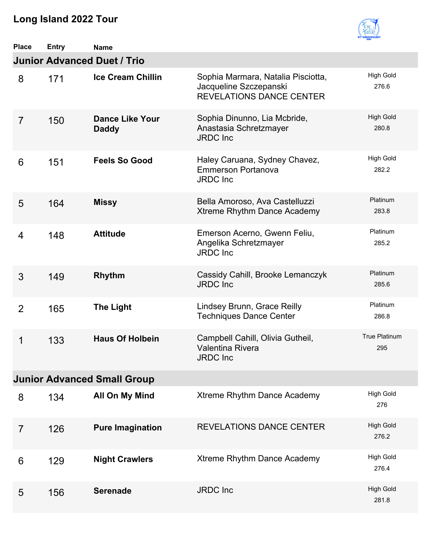

| <b>Place</b>   | <b>Entry</b> | <b>Name</b>                            |                                                                                                 |                           |
|----------------|--------------|----------------------------------------|-------------------------------------------------------------------------------------------------|---------------------------|
|                |              | <b>Junior Advanced Duet / Trio</b>     |                                                                                                 |                           |
| 8              | 171          | <b>Ice Cream Chillin</b>               | Sophia Marmara, Natalia Pisciotta,<br>Jacqueline Szczepanski<br><b>REVELATIONS DANCE CENTER</b> | <b>High Gold</b><br>276.6 |
| $\overline{7}$ | 150          | <b>Dance Like Your</b><br><b>Daddy</b> | Sophia Dinunno, Lia Mcbride,<br>Anastasia Schretzmayer<br><b>JRDC</b> Inc                       | <b>High Gold</b><br>280.8 |
| 6              | 151          | <b>Feels So Good</b>                   | Haley Caruana, Sydney Chavez,<br><b>Emmerson Portanova</b><br><b>JRDC</b> Inc                   | <b>High Gold</b><br>282.2 |
| 5              | 164          | <b>Missy</b>                           | Bella Amoroso, Ava Castelluzzi<br>Xtreme Rhythm Dance Academy                                   | Platinum<br>283.8         |
| 4              | 148          | <b>Attitude</b>                        | Emerson Acerno, Gwenn Feliu,<br>Angelika Schretzmayer<br><b>JRDC</b> Inc                        | Platinum<br>285.2         |
| 3              | 149          | <b>Rhythm</b>                          | Cassidy Cahill, Brooke Lemanczyk<br><b>JRDC</b> Inc                                             | Platinum<br>285.6         |
| $\overline{2}$ | 165          | <b>The Light</b>                       | Lindsey Brunn, Grace Reilly<br><b>Techniques Dance Center</b>                                   | Platinum<br>286.8         |
| 1              | 133          | <b>Haus Of Holbein</b>                 | Campbell Cahill, Olivia Gutheil,<br><b>Valentina Rivera</b><br><b>JRDC</b> Inc                  | True Platinum<br>295      |
|                |              | <b>Junior Advanced Small Group</b>     |                                                                                                 |                           |
| 8              | 134          | All On My Mind                         | Xtreme Rhythm Dance Academy                                                                     | <b>High Gold</b><br>276   |
| $\overline{7}$ | 126          | <b>Pure Imagination</b>                | <b>REVELATIONS DANCE CENTER</b>                                                                 | <b>High Gold</b><br>276.2 |
| 6              | 129          | <b>Night Crawlers</b>                  | Xtreme Rhythm Dance Academy                                                                     | <b>High Gold</b><br>276.4 |
| 5              | 156          | <b>Serenade</b>                        | <b>JRDC</b> Inc                                                                                 | <b>High Gold</b><br>281.8 |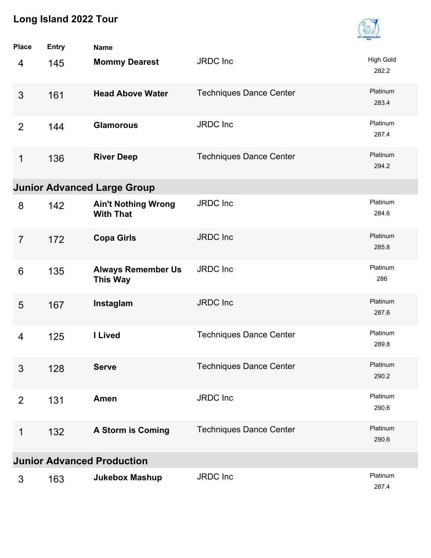

| <b>Place</b>   | <b>Entry</b> | <b>Name</b>                                    |                                |                           |
|----------------|--------------|------------------------------------------------|--------------------------------|---------------------------|
| 4              | 145          | <b>Mommy Dearest</b>                           | <b>JRDC</b> Inc                | <b>High Gold</b><br>282.2 |
| 3              | 161          | <b>Head Above Water</b>                        | <b>Techniques Dance Center</b> | Platinum<br>283.4         |
| 2              | 144          | <b>Glamorous</b>                               | <b>JRDC</b> Inc                | Platinum<br>287.4         |
| 1              | 136          | <b>River Deep</b>                              | <b>Techniques Dance Center</b> | Platinum<br>294.2         |
|                |              | <b>Junior Advanced Large Group</b>             |                                |                           |
| 8              | 142          | <b>Ain't Nothing Wrong</b><br><b>With That</b> | <b>JRDC</b> Inc                | Platinum<br>284.6         |
| $\overline{7}$ | 172          | <b>Copa Girls</b>                              | <b>JRDC</b> Inc                | Platinum<br>285.8         |
| 6              | 135          | <b>Always Remember Us</b><br><b>This Way</b>   | <b>JRDC</b> Inc                | Platinum<br>286           |
| 5              | 167          | Instaglam                                      | <b>JRDC</b> Inc                | Platinum<br>287.6         |
| 4              | 125          | I Lived                                        | <b>Techniques Dance Center</b> | Platinum<br>289.8         |
| 3              | 128          | <b>Serve</b>                                   | <b>Techniques Dance Center</b> | Platinum<br>290.2         |
| $\overline{2}$ | 131          | Amen                                           | <b>JRDC</b> Inc                | Platinum<br>290.6         |
| 1              | 132          | A Storm is Coming                              | <b>Techniques Dance Center</b> | Platinum<br>290.6         |
|                |              | <b>Junior Advanced Production</b>              |                                |                           |
| 3              | 163          | <b>Jukebox Mashup</b>                          | JRDC Inc                       | Platinum<br>287.4         |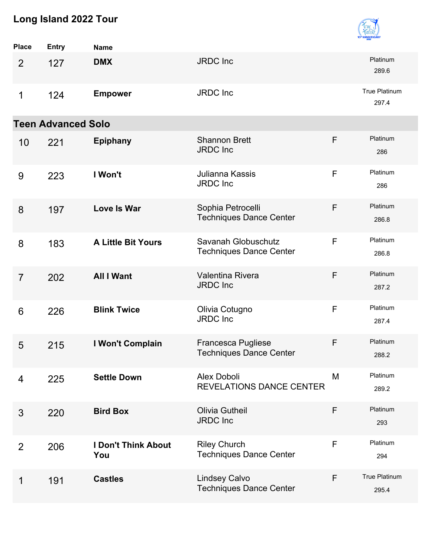

| <b>Place</b>   | <b>Entry</b>              | <b>Name</b>                       |                                                             |   |                               |
|----------------|---------------------------|-----------------------------------|-------------------------------------------------------------|---|-------------------------------|
| $\overline{2}$ | 127                       | <b>DMX</b>                        | <b>JRDC</b> Inc                                             |   | Platinum<br>289.6             |
| 1              | 124                       | <b>Empower</b>                    | <b>JRDC</b> Inc                                             |   | <b>True Platinum</b><br>297.4 |
|                | <b>Teen Advanced Solo</b> |                                   |                                                             |   |                               |
| 10             | 221                       | <b>Epiphany</b>                   | <b>Shannon Brett</b><br><b>JRDC</b> Inc                     | F | Platinum<br>286               |
| 9              | 223                       | I Won't                           | Julianna Kassis<br><b>JRDC</b> Inc                          | F | Platinum<br>286               |
| 8              | 197                       | <b>Love Is War</b>                | Sophia Petrocelli<br><b>Techniques Dance Center</b>         | F | Platinum<br>286.8             |
| 8              | 183                       | <b>A Little Bit Yours</b>         | Savanah Globuschutz<br><b>Techniques Dance Center</b>       | F | Platinum<br>286.8             |
| $\overline{7}$ | 202                       | <b>All I Want</b>                 | Valentina Rivera<br><b>JRDC</b> Inc                         | F | Platinum<br>287.2             |
| 6              | 226                       | <b>Blink Twice</b>                | Olivia Cotugno<br><b>JRDC</b> Inc                           | F | Platinum<br>287.4             |
| 5              | 215                       | I Won't Complain                  | <b>Francesca Pugliese</b><br><b>Techniques Dance Center</b> | F | Platinum<br>288.2             |
| 4              | 225                       | <b>Settle Down</b>                | <b>Alex Doboli</b><br><b>REVELATIONS DANCE CENTER</b>       | M | Platinum<br>289.2             |
| 3              | 220                       | <b>Bird Box</b>                   | <b>Olivia Gutheil</b><br><b>JRDC</b> Inc                    | F | Platinum<br>293               |
| $\overline{2}$ | 206                       | <b>I Don't Think About</b><br>You | <b>Riley Church</b><br><b>Techniques Dance Center</b>       | F | Platinum<br>294               |
| 1              | 191                       | <b>Castles</b>                    | <b>Lindsey Calvo</b><br><b>Techniques Dance Center</b>      | F | True Platinum<br>295.4        |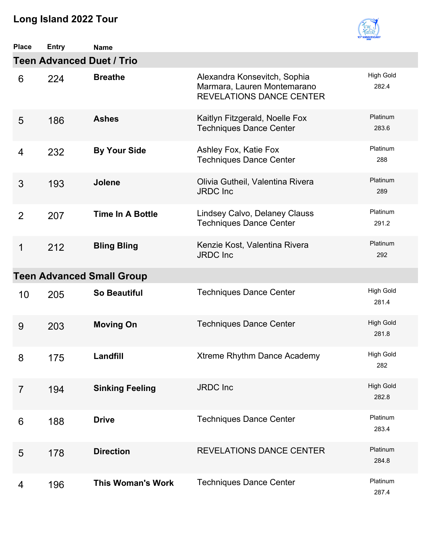

| <b>Place</b>   | Entry | <b>Name</b>                      |                                                                                                |                           |
|----------------|-------|----------------------------------|------------------------------------------------------------------------------------------------|---------------------------|
|                |       | <b>Teen Advanced Duet / Trio</b> |                                                                                                |                           |
| 6              | 224   | <b>Breathe</b>                   | Alexandra Konsevitch, Sophia<br>Marmara, Lauren Montemarano<br><b>REVELATIONS DANCE CENTER</b> | <b>High Gold</b><br>282.4 |
| 5              | 186   | <b>Ashes</b>                     | Kaitlyn Fitzgerald, Noelle Fox<br><b>Techniques Dance Center</b>                               | Platinum<br>283.6         |
| 4              | 232   | <b>By Your Side</b>              | Ashley Fox, Katie Fox<br><b>Techniques Dance Center</b>                                        | Platinum<br>288           |
| 3              | 193   | <b>Jolene</b>                    | Olivia Gutheil, Valentina Rivera<br><b>JRDC</b> Inc                                            | Platinum<br>289           |
| $\overline{2}$ | 207   | <b>Time In A Bottle</b>          | Lindsey Calvo, Delaney Clauss<br><b>Techniques Dance Center</b>                                | Platinum<br>291.2         |
| 1              | 212   | <b>Bling Bling</b>               | Kenzie Kost, Valentina Rivera<br><b>JRDC</b> Inc                                               | Platinum<br>292           |
|                |       | <b>Teen Advanced Small Group</b> |                                                                                                |                           |
| 10             | 205   | <b>So Beautiful</b>              | <b>Techniques Dance Center</b>                                                                 | <b>High Gold</b><br>281.4 |
| 9              | 203   | <b>Moving On</b>                 | <b>Techniques Dance Center</b>                                                                 | <b>High Gold</b><br>281.8 |
| 8              | 175   | Landfill                         | Xtreme Rhythm Dance Academy                                                                    | <b>High Gold</b><br>282   |
| $\overline{7}$ | 194   | <b>Sinking Feeling</b>           | <b>JRDC</b> Inc                                                                                | <b>High Gold</b><br>282.8 |
| 6              | 188   | <b>Drive</b>                     | <b>Techniques Dance Center</b>                                                                 | Platinum<br>283.4         |
| 5              | 178   | <b>Direction</b>                 | <b>REVELATIONS DANCE CENTER</b>                                                                | Platinum<br>284.8         |
| 4              | 196   | <b>This Woman's Work</b>         | <b>Techniques Dance Center</b>                                                                 | Platinum<br>287.4         |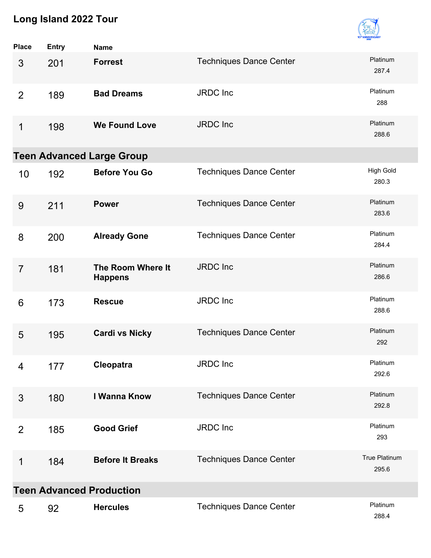

| <b>Place</b>   | <b>Entry</b> | <b>Name</b>                         |                                |                           |
|----------------|--------------|-------------------------------------|--------------------------------|---------------------------|
| 3              | 201          | <b>Forrest</b>                      | <b>Techniques Dance Center</b> | Platinum<br>287.4         |
| $\overline{2}$ | 189          | <b>Bad Dreams</b>                   | JRDC Inc                       | Platinum<br>288           |
| 1              | 198          | <b>We Found Love</b>                | <b>JRDC</b> Inc                | Platinum<br>288.6         |
|                |              | <b>Teen Advanced Large Group</b>    |                                |                           |
| 10             | 192          | <b>Before You Go</b>                | <b>Techniques Dance Center</b> | <b>High Gold</b><br>280.3 |
| 9              | 211          | <b>Power</b>                        | <b>Techniques Dance Center</b> | Platinum<br>283.6         |
| 8              | 200          | <b>Already Gone</b>                 | <b>Techniques Dance Center</b> | Platinum<br>284.4         |
| $\overline{7}$ | 181          | The Room Where It<br><b>Happens</b> | JRDC Inc                       | Platinum<br>286.6         |
| 6              | 173          | <b>Rescue</b>                       | <b>JRDC</b> Inc                | Platinum<br>288.6         |
| 5              | 195          | <b>Cardi vs Nicky</b>               | <b>Techniques Dance Center</b> | Platinum<br>292           |
| 4              | 177          | Cleopatra                           | JRDC Inc                       | Platinum<br>292.6         |
| 3              | 180          | I Wanna Know                        | <b>Techniques Dance Center</b> | Platinum<br>292.8         |
| 2              | 185          | <b>Good Grief</b>                   | JRDC Inc                       | Platinum<br>293           |
| 1              | 184          | <b>Before It Breaks</b>             | <b>Techniques Dance Center</b> | True Platinum<br>295.6    |
|                |              | <b>Teen Advanced Production</b>     |                                |                           |
| 5              | 92           | <b>Hercules</b>                     | <b>Techniques Dance Center</b> | Platinum<br>288.4         |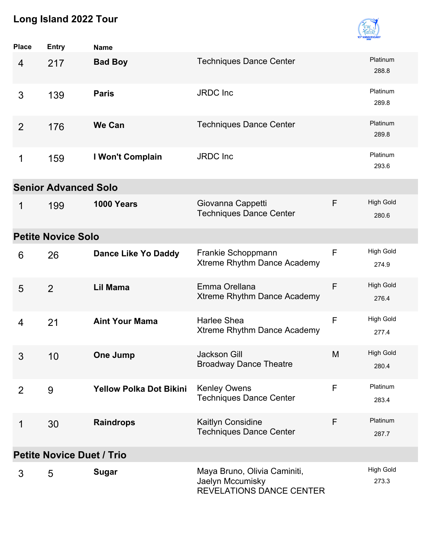

| Place                            | <b>Entry</b>   | <b>Name</b>                    |                                                                                     |   |                           |  |  |
|----------------------------------|----------------|--------------------------------|-------------------------------------------------------------------------------------|---|---------------------------|--|--|
| 4                                | 217            | <b>Bad Boy</b>                 | <b>Techniques Dance Center</b>                                                      |   | Platinum<br>288.8         |  |  |
| 3                                | 139            | <b>Paris</b>                   | <b>JRDC</b> Inc                                                                     |   | Platinum<br>289.8         |  |  |
| 2                                | 176            | <b>We Can</b>                  | <b>Techniques Dance Center</b>                                                      |   | Platinum<br>289.8         |  |  |
| 1                                | 159            | I Won't Complain               | <b>JRDC</b> Inc                                                                     |   | Platinum<br>293.6         |  |  |
| <b>Senior Advanced Solo</b>      |                |                                |                                                                                     |   |                           |  |  |
| 1                                | 199            | 1000 Years                     | Giovanna Cappetti<br><b>Techniques Dance Center</b>                                 | F | <b>High Gold</b><br>280.6 |  |  |
| <b>Petite Novice Solo</b>        |                |                                |                                                                                     |   |                           |  |  |
| 6                                | 26             | <b>Dance Like Yo Daddy</b>     | Frankie Schoppmann<br>Xtreme Rhythm Dance Academy                                   | F | <b>High Gold</b><br>274.9 |  |  |
| 5                                | $\overline{2}$ | Lil Mama                       | Emma Orellana<br>Xtreme Rhythm Dance Academy                                        | F | <b>High Gold</b><br>276.4 |  |  |
| 4                                | 21             | <b>Aint Your Mama</b>          | Harlee Shea<br>Xtreme Rhythm Dance Academy                                          | F | <b>High Gold</b><br>277.4 |  |  |
| 3                                | 10             | <b>One Jump</b>                | <b>Jackson Gill</b><br><b>Broadway Dance Theatre</b>                                | M | <b>High Gold</b><br>280.4 |  |  |
| 2                                | 9              | <b>Yellow Polka Dot Bikini</b> | <b>Kenley Owens</b><br><b>Techniques Dance Center</b>                               | F | Platinum<br>283.4         |  |  |
| 1                                | 30             | <b>Raindrops</b>               | Kaitlyn Considine<br><b>Techniques Dance Center</b>                                 | F | Platinum<br>287.7         |  |  |
| <b>Petite Novice Duet / Trio</b> |                |                                |                                                                                     |   |                           |  |  |
| 3                                | 5              | <b>Sugar</b>                   | Maya Bruno, Olivia Caminiti,<br>Jaelyn Mccumisky<br><b>REVELATIONS DANCE CENTER</b> |   | <b>High Gold</b><br>273.3 |  |  |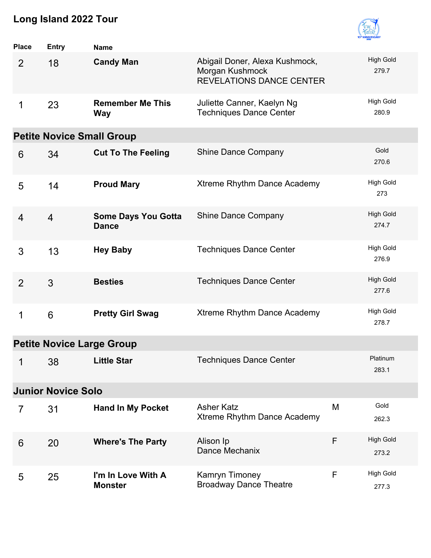

| <b>Place</b>                     | <b>Entry</b>   | <b>Name</b>                                |                                                                                      |   |                           |  |
|----------------------------------|----------------|--------------------------------------------|--------------------------------------------------------------------------------------|---|---------------------------|--|
| $\overline{2}$                   | 18             | <b>Candy Man</b>                           | Abigail Doner, Alexa Kushmock,<br>Morgan Kushmock<br><b>REVELATIONS DANCE CENTER</b> |   | <b>High Gold</b><br>279.7 |  |
| 1                                | 23             | <b>Remember Me This</b><br><b>Way</b>      | Juliette Canner, Kaelyn Ng<br><b>Techniques Dance Center</b>                         |   | <b>High Gold</b><br>280.9 |  |
|                                  |                | <b>Petite Novice Small Group</b>           |                                                                                      |   |                           |  |
| 6                                | 34             | <b>Cut To The Feeling</b>                  | <b>Shine Dance Company</b>                                                           |   | Gold<br>270.6             |  |
| 5                                | 14             | <b>Proud Mary</b>                          | Xtreme Rhythm Dance Academy                                                          |   | <b>High Gold</b><br>273   |  |
| $\overline{4}$                   | $\overline{4}$ | <b>Some Days You Gotta</b><br><b>Dance</b> | <b>Shine Dance Company</b>                                                           |   | <b>High Gold</b><br>274.7 |  |
| 3                                | 13             | <b>Hey Baby</b>                            | <b>Techniques Dance Center</b>                                                       |   | <b>High Gold</b><br>276.9 |  |
| $\overline{2}$                   | 3              | <b>Besties</b>                             | <b>Techniques Dance Center</b>                                                       |   | <b>High Gold</b><br>277.6 |  |
| 1                                | 6              | <b>Pretty Girl Swag</b>                    | Xtreme Rhythm Dance Academy                                                          |   | <b>High Gold</b><br>278.7 |  |
| <b>Petite Novice Large Group</b> |                |                                            |                                                                                      |   |                           |  |
|                                  | $1 \qquad 38$  | <b>Little Star</b>                         | <b>Techniques Dance Center</b>                                                       |   | Platinum<br>283.1         |  |
| <b>Junior Novice Solo</b>        |                |                                            |                                                                                      |   |                           |  |
| $\overline{7}$                   | 31             | <b>Hand In My Pocket</b>                   | <b>Asher Katz</b><br>Xtreme Rhythm Dance Academy                                     | M | Gold<br>262.3             |  |
| 6                                | 20             | <b>Where's The Party</b>                   | Alison Ip<br>Dance Mechanix                                                          | F | <b>High Gold</b><br>273.2 |  |
| 5                                | 25             | I'm In Love With A<br><b>Monster</b>       | Kamryn Timoney<br><b>Broadway Dance Theatre</b>                                      | F | <b>High Gold</b><br>277.3 |  |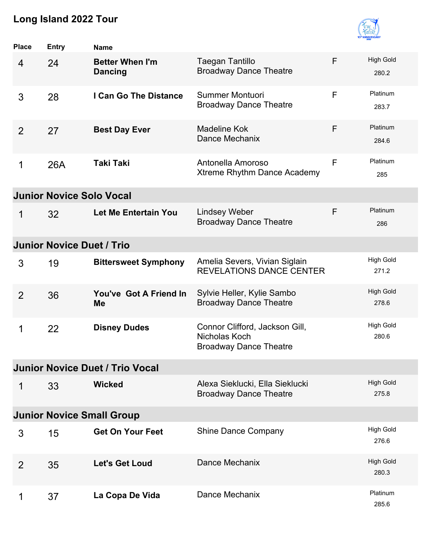

| <b>Place</b>                           | <b>Entry</b>                     | <b>Name</b>                              |                                                                                  |   |                           |  |  |  |
|----------------------------------------|----------------------------------|------------------------------------------|----------------------------------------------------------------------------------|---|---------------------------|--|--|--|
| $\overline{4}$                         | 24                               | <b>Better When I'm</b><br><b>Dancing</b> | <b>Taegan Tantillo</b><br><b>Broadway Dance Theatre</b>                          | F | <b>High Gold</b><br>280.2 |  |  |  |
| 3                                      | 28                               | I Can Go The Distance                    | Summer Montuori<br><b>Broadway Dance Theatre</b>                                 | F | Platinum<br>283.7         |  |  |  |
| 2                                      | 27                               | <b>Best Day Ever</b>                     | <b>Madeline Kok</b><br>Dance Mechanix                                            | F | Platinum<br>284.6         |  |  |  |
| 1                                      | <b>26A</b>                       | <b>Taki Taki</b>                         | Antonella Amoroso<br>Xtreme Rhythm Dance Academy                                 | F | Platinum<br>285           |  |  |  |
|                                        | <b>Junior Novice Solo Vocal</b>  |                                          |                                                                                  |   |                           |  |  |  |
| 1                                      | 32                               | Let Me Entertain You                     | <b>Lindsey Weber</b><br><b>Broadway Dance Theatre</b>                            | F | Platinum<br>286           |  |  |  |
|                                        | <b>Junior Novice Duet / Trio</b> |                                          |                                                                                  |   |                           |  |  |  |
| 3                                      | 19                               | <b>Bittersweet Symphony</b>              | Amelia Severs, Vivian Siglain<br><b>REVELATIONS DANCE CENTER</b>                 |   | High Gold<br>271.2        |  |  |  |
| 2                                      | 36                               | You've Got A Friend In<br><b>Me</b>      | Sylvie Heller, Kylie Sambo<br><b>Broadway Dance Theatre</b>                      |   | High Gold<br>278.6        |  |  |  |
| 1                                      | 22                               | <b>Disney Dudes</b>                      | Connor Clifford, Jackson Gill,<br>Nicholas Koch<br><b>Broadway Dance Theatre</b> |   | High Gold<br>280.6        |  |  |  |
| <b>Junior Novice Duet / Trio Vocal</b> |                                  |                                          |                                                                                  |   |                           |  |  |  |
| 1                                      | 33                               | <b>Wicked</b>                            | Alexa Sieklucki, Ella Sieklucki<br><b>Broadway Dance Theatre</b>                 |   | <b>High Gold</b><br>275.8 |  |  |  |
| <b>Junior Novice Small Group</b>       |                                  |                                          |                                                                                  |   |                           |  |  |  |
| 3                                      | 15                               | <b>Get On Your Feet</b>                  | <b>Shine Dance Company</b>                                                       |   | <b>High Gold</b><br>276.6 |  |  |  |
| 2                                      | 35                               | <b>Let's Get Loud</b>                    | Dance Mechanix                                                                   |   | <b>High Gold</b><br>280.3 |  |  |  |
| 1                                      | 37                               | La Copa De Vida                          | Dance Mechanix                                                                   |   | Platinum<br>285.6         |  |  |  |